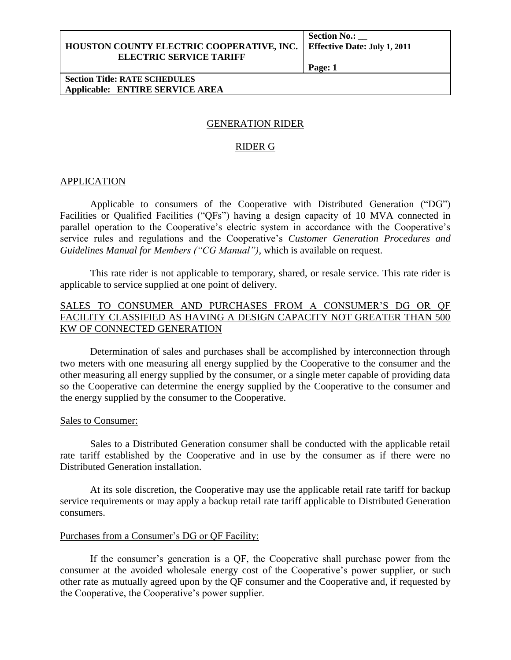#### **HOUSTON COUNTY ELECTRIC COOPERATIVE, INC. Effective Date: July 1, 2011 ELECTRIC SERVICE TARIFF**

**Section No.: \_\_**

**Page: 1**

#### **Section Title: RATE SCHEDULES Applicable: ENTIRE SERVICE AREA**

# GENERATION RIDER

# RIDER G

## **APPLICATION**

Applicable to consumers of the Cooperative with Distributed Generation ("DG") Facilities or Qualified Facilities ("QFs") having a design capacity of 10 MVA connected in parallel operation to the Cooperative's electric system in accordance with the Cooperative's service rules and regulations and the Cooperative's *Customer Generation Procedures and Guidelines Manual for Members ("CG Manual"),* which is available on request.

This rate rider is not applicable to temporary, shared, or resale service. This rate rider is applicable to service supplied at one point of delivery.

# SALES TO CONSUMER AND PURCHASES FROM A CONSUMER'S DG OR QF FACILITY CLASSIFIED AS HAVING A DESIGN CAPACITY NOT GREATER THAN 500 KW OF CONNECTED GENERATION

Determination of sales and purchases shall be accomplished by interconnection through two meters with one measuring all energy supplied by the Cooperative to the consumer and the other measuring all energy supplied by the consumer, or a single meter capable of providing data so the Cooperative can determine the energy supplied by the Cooperative to the consumer and the energy supplied by the consumer to the Cooperative.

#### Sales to Consumer:

Sales to a Distributed Generation consumer shall be conducted with the applicable retail rate tariff established by the Cooperative and in use by the consumer as if there were no Distributed Generation installation.

At its sole discretion, the Cooperative may use the applicable retail rate tariff for backup service requirements or may apply a backup retail rate tariff applicable to Distributed Generation consumers.

## Purchases from a Consumer's DG or QF Facility:

If the consumer's generation is a QF, the Cooperative shall purchase power from the consumer at the avoided wholesale energy cost of the Cooperative's power supplier, or such other rate as mutually agreed upon by the QF consumer and the Cooperative and, if requested by the Cooperative, the Cooperative's power supplier.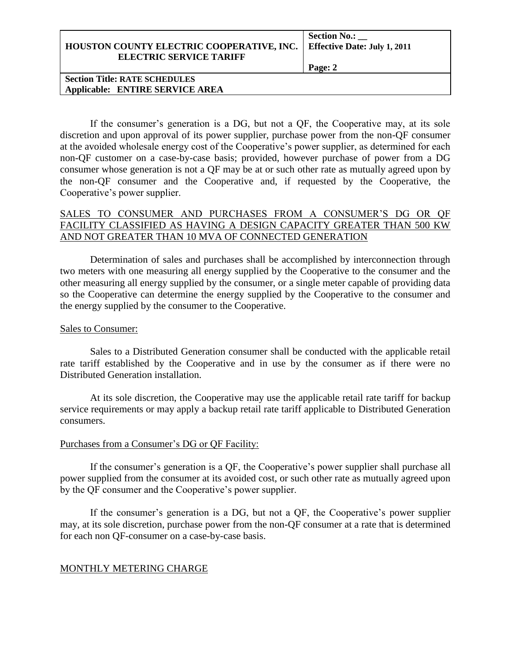| HOUSTON COUNTY ELECTRIC COOPERATIVE, INC. |  |
|-------------------------------------------|--|
| <b>ELECTRIC SERVICE TARIFF</b>            |  |

**Section No.: \_\_ Effective Date: July 1, 2011** 

**Page: 2**

#### **Section Title: RATE SCHEDULES Applicable: ENTIRE SERVICE AREA**

If the consumer's generation is a DG, but not a QF, the Cooperative may, at its sole discretion and upon approval of its power supplier, purchase power from the non-QF consumer at the avoided wholesale energy cost of the Cooperative's power supplier, as determined for each non-QF customer on a case-by-case basis; provided, however purchase of power from a DG consumer whose generation is not a QF may be at or such other rate as mutually agreed upon by the non-QF consumer and the Cooperative and, if requested by the Cooperative, the Cooperative's power supplier.

# SALES TO CONSUMER AND PURCHASES FROM A CONSUMER'S DG OR QF FACILITY CLASSIFIED AS HAVING A DESIGN CAPACITY GREATER THAN 500 KW AND NOT GREATER THAN 10 MVA OF CONNECTED GENERATION

Determination of sales and purchases shall be accomplished by interconnection through two meters with one measuring all energy supplied by the Cooperative to the consumer and the other measuring all energy supplied by the consumer, or a single meter capable of providing data so the Cooperative can determine the energy supplied by the Cooperative to the consumer and the energy supplied by the consumer to the Cooperative.

## Sales to Consumer:

Sales to a Distributed Generation consumer shall be conducted with the applicable retail rate tariff established by the Cooperative and in use by the consumer as if there were no Distributed Generation installation.

At its sole discretion, the Cooperative may use the applicable retail rate tariff for backup service requirements or may apply a backup retail rate tariff applicable to Distributed Generation consumers.

## Purchases from a Consumer's DG or QF Facility:

If the consumer's generation is a QF, the Cooperative's power supplier shall purchase all power supplied from the consumer at its avoided cost, or such other rate as mutually agreed upon by the QF consumer and the Cooperative's power supplier.

If the consumer's generation is a DG, but not a QF, the Cooperative's power supplier may, at its sole discretion, purchase power from the non-QF consumer at a rate that is determined for each non QF-consumer on a case-by-case basis.

# MONTHLY METERING CHARGE